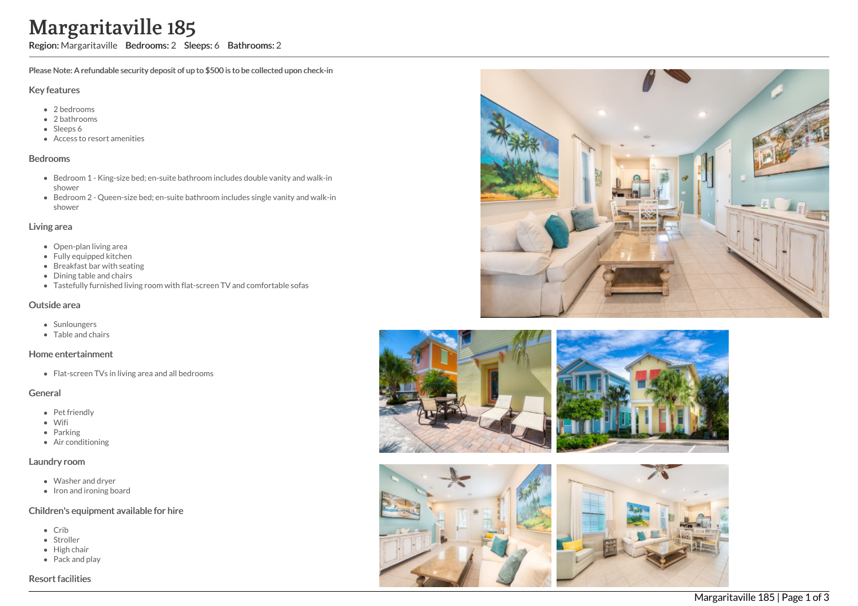# Margaritaville 185

Region: Margaritaville Bedrooms: 2 Sleeps: 6 Bathrooms: 2

Please Note: A refundable security deposit of up to \$500 is to be collected upon check-in

#### Key features

- 2 bedrooms
- 2 bathrooms
- Sleeps 6
- Access to resort amenities

#### Bedrooms

- Bedroom 1 King-size bed; en-suite bathroom includes double vanity and walk-in shower
- Bedroom 2 Queen-size bed; en-suite bathroom includes single vanity and walk-in shower

# Living area

- Open-plan living area
- Fully equipped kitchen
- Breakfast bar with seating
- Dining table and chairs
- Tastefully furnished living room with flat-screen TV and comfortable sofas

#### Outside area

- Sunloungers
- Table and chairs

#### Home entertainment

• Flat-screen TVs in living area and all bedrooms

#### General

- Pet friendly
- Wifi
- Parking
- Air conditioning

#### Laundry room

- Washer and dryer
- Iron and ironing board

## Children's equipment available for hire

- $\bullet$  Crib
- Stroller
- High chair
- Pack and play

# Resort facilities









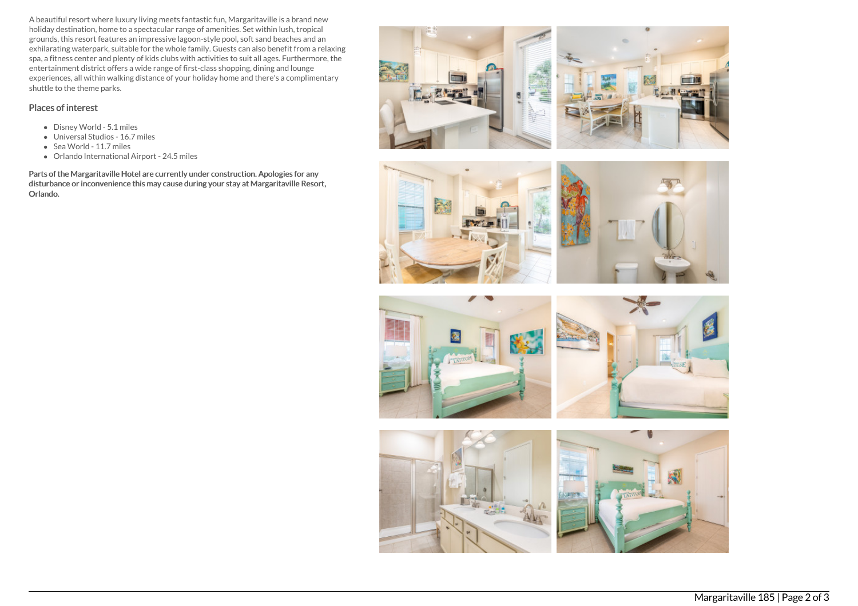A beautiful resort where luxury living meets fantastic fun, Margaritaville is a brand new holiday destination, home to a spectacular range of amenities. Set within lush, tropical grounds, this resort features an impressive lagoon-style pool, soft sand beaches and an exhilarating waterpark, suitable for the whole family. Guests can also benefit from a relaxing spa, a fitness center and plenty of kids clubs with activities to suit all ages. Furthermore, the entertainment district offers a wide range of first-class shopping, dining and lounge experiences, all within walking distance of your holiday home and there's a complimentary shuttle to the theme parks.

# Places of interest

- Disney World 5.1 miles
- Universal Studios 16.7 miles
- Sea World 11.7 miles
- Orlando International Airport 24.5 miles

Parts of the Margaritaville Hotel are currently under construction. Apologies for any disturbance or inconvenience this may cause during your stay at Margaritaville Resort, Orlando.